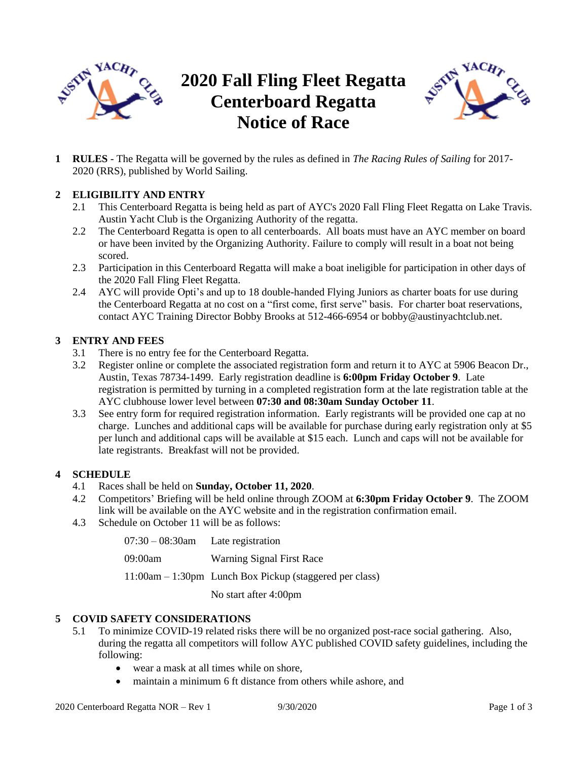

# **2020 Fall Fling Fleet Regatta Centerboard Regatta Notice of Race**



**1 RULES** - The Regatta will be governed by the rules as defined in *The Racing Rules of Sailing* for 2017- 2020 (RRS), published by World Sailing.

### **2 ELIGIBILITY AND ENTRY**

- 2.1 This Centerboard Regatta is being held as part of AYC's 2020 Fall Fling Fleet Regatta on Lake Travis. Austin Yacht Club is the Organizing Authority of the regatta.
- 2.2 The Centerboard Regatta is open to all centerboards. All boats must have an AYC member on board or have been invited by the Organizing Authority. Failure to comply will result in a boat not being scored.
- 2.3 Participation in this Centerboard Regatta will make a boat ineligible for participation in other days of the 2020 Fall Fling Fleet Regatta.
- 2.4 AYC will provide Opti's and up to 18 double-handed Flying Juniors as charter boats for use during the Centerboard Regatta at no cost on a "first come, first serve" basis.For charter boat reservations, contact AYC Training Director Bobby Brooks at 512-466-6954 or bobby@austinyachtclub.net.

## **3 ENTRY AND FEES**

- 3.1 There is no entry fee for the Centerboard Regatta.
- 3.2 Register online or complete the associated registration form and return it to AYC at 5906 Beacon Dr., Austin, Texas 78734-1499. Early registration deadline is **6:00pm Friday October 9**. Late registration is permitted by turning in a completed registration form at the late registration table at the AYC clubhouse lower level between **07:30 and 08:30am Sunday October 11**.
- 3.3 See entry form for required registration information. Early registrants will be provided one cap at no charge. Lunches and additional caps will be available for purchase during early registration only at \$5 per lunch and additional caps will be available at \$15 each. Lunch and caps will not be available for late registrants. Breakfast will not be provided.

#### **4 SCHEDULE**

- 4.1 Races shall be held on **Sunday, October 11, 2020**.
- 4.2 Competitors' Briefing will be held online through ZOOM at **6:30pm Friday October 9**. The ZOOM link will be available on the AYC website and in the registration confirmation email.
- 4.3 Schedule on October 11 will be as follows:

| $07:30-08:30$ am | Late registration                                          |
|------------------|------------------------------------------------------------|
| 09:00am          | Warning Signal First Race                                  |
|                  | $11:00$ am – 1:30pm Lunch Box Pickup (staggered per class) |
|                  | No start after 4:00pm                                      |

#### **5 COVID SAFETY CONSIDERATIONS**

- 5.1 To minimize COVID-19 related risks there will be no organized post-race social gathering. Also, during the regatta all competitors will follow AYC published COVID safety guidelines, including the following:
	- wear a mask at all times while on shore,
	- maintain a minimum 6 ft distance from others while ashore, and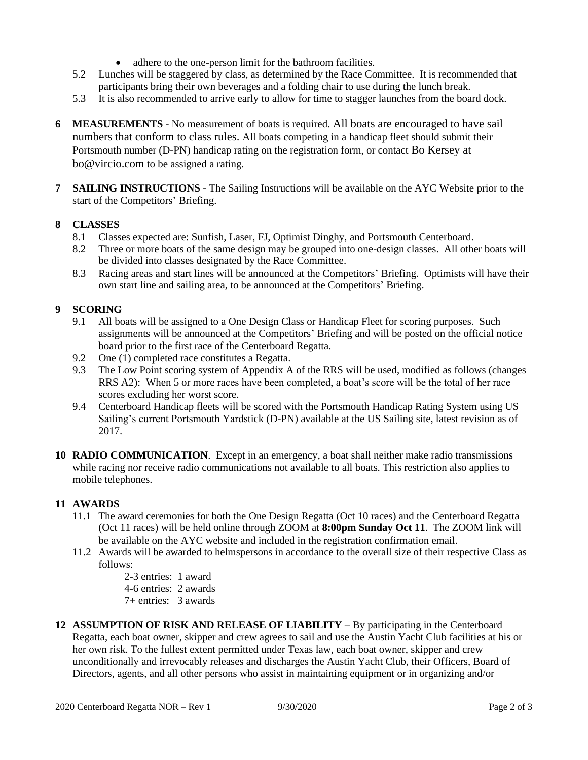- adhere to the one-person limit for the bathroom facilities.
- 5.2 Lunches will be staggered by class, as determined by the Race Committee. It is recommended that participants bring their own beverages and a folding chair to use during the lunch break.
- 5.3 It is also recommended to arrive early to allow for time to stagger launches from the board dock.
- **6 MEASUREMENTS** No measurement of boats is required. All boats are encouraged to have sail numbers that conform to class rules. All boats competing in a handicap fleet should submit their Portsmouth number (D-PN) handicap rating on the registration form, or contact Bo Kersey at bo@vircio.com to be assigned a rating.
- **7 SAILING INSTRUCTIONS** The Sailing Instructions will be available on the AYC Website prior to the start of the Competitors' Briefing.

#### **8 CLASSES**

- 8.1 Classes expected are: Sunfish, Laser, FJ, Optimist Dinghy, and Portsmouth Centerboard.
- 8.2 Three or more boats of the same design may be grouped into one-design classes. All other boats will be divided into classes designated by the Race Committee.
- 8.3 Racing areas and start lines will be announced at the Competitors' Briefing. Optimists will have their own start line and sailing area, to be announced at the Competitors' Briefing.

#### **9 SCORING**

- 9.1 All boats will be assigned to a One Design Class or Handicap Fleet for scoring purposes. Such assignments will be announced at the Competitors' Briefing and will be posted on the official notice board prior to the first race of the Centerboard Regatta.
- 9.2 One (1) completed race constitutes a Regatta.
- 9.3 The Low Point scoring system of Appendix A of the RRS will be used, modified as follows (changes RRS A2): When 5 or more races have been completed, a boat's score will be the total of her race scores excluding her worst score.
- 9.4 Centerboard Handicap fleets will be scored with the Portsmouth Handicap Rating System using US Sailing's current Portsmouth Yardstick (D-PN) available at the US Sailing site, latest revision as of 2017.
- **10 RADIO COMMUNICATION**. Except in an emergency, a boat shall neither make radio transmissions while racing nor receive radio communications not available to all boats. This restriction also applies to mobile telephones.

#### **11 AWARDS**

- 11.1 The award ceremonies for both the One Design Regatta (Oct 10 races) and the Centerboard Regatta (Oct 11 races) will be held online through ZOOM at **8:00pm Sunday Oct 11**. The ZOOM link will be available on the AYC website and included in the registration confirmation email.
- 11.2 Awards will be awarded to helmspersons in accordance to the overall size of their respective Class as follows:
	- 2-3 entries: 1 award
	- 4-6 entries: 2 awards
	- 7+ entries: 3 awards
- **12 ASSUMPTION OF RISK AND RELEASE OF LIABILITY**  By participating in the Centerboard Regatta, each boat owner, skipper and crew agrees to sail and use the Austin Yacht Club facilities at his or her own risk. To the fullest extent permitted under Texas law, each boat owner, skipper and crew unconditionally and irrevocably releases and discharges the Austin Yacht Club, their Officers, Board of Directors, agents, and all other persons who assist in maintaining equipment or in organizing and/or